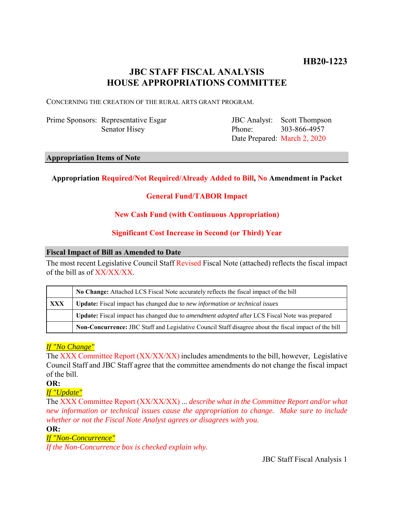# **JBC STAFF FISCAL ANALYSIS HOUSE APPROPRIATIONS COMMITTEE**

CONCERNING THE CREATION OF THE RURAL ARTS GRANT PROGRAM.

Prime Sponsors: Representative Esgar Senator Hisey

JBC Analyst: Phone: Date Prepared: March 2, 2020 Scott Thompson 303-866-4957

#### **Appropriation Items of Note**

# **Appropriation Required/Not Required/Already Added to Bill, No Amendment in Packet**

# **General Fund/TABOR Impact**

# **New Cash Fund (with Continuous Appropriation)**

# **Significant Cost Increase in Second (or Third) Year**

#### **Fiscal Impact of Bill as Amended to Date**

The most recent Legislative Council Staff Revised Fiscal Note (attached) reflects the fiscal impact of the bill as of XX/XX/XX.

|            | No Change: Attached LCS Fiscal Note accurately reflects the fiscal impact of the bill                       |
|------------|-------------------------------------------------------------------------------------------------------------|
| <b>XXX</b> | <b>Update:</b> Fiscal impact has changed due to new information or technical issues                         |
|            | <b>Update:</b> Fiscal impact has changed due to <i>amendment adopted</i> after LCS Fiscal Note was prepared |
|            | Non-Concurrence: JBC Staff and Legislative Council Staff disagree about the fiscal impact of the bill       |

# *If "No Change"*

The XXX Committee Report (XX/XX/XX) includes amendments to the bill, however, Legislative Council Staff and JBC Staff agree that the committee amendments do not change the fiscal impact of the bill.

**OR:**

*If "Update"*

The XXX Committee Report (XX/XX/XX) ... *describe what in the Committee Report and/or what new information or technical issues cause the appropriation to change. Make sure to include whether or not the Fiscal Note Analyst agrees or disagrees with you.*

**OR:**

## *If "Non-Concurrence"*

*If the Non-Concurrence box is checked explain why.* 

JBC Staff Fiscal Analysis 1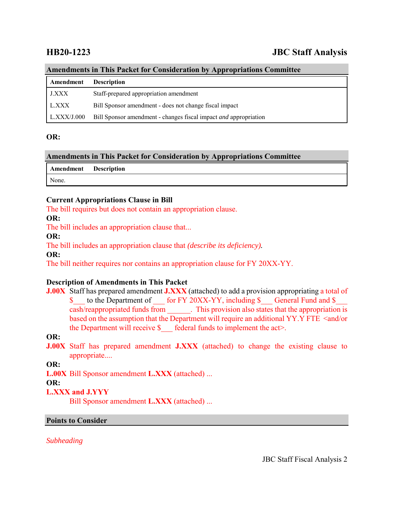# **HB20-1223 JBC Staff Analysis**

#### **Amendments in This Packet for Consideration by Appropriations Committee**

| Amendment    | <b>Description</b>                                                      |
|--------------|-------------------------------------------------------------------------|
| <b>J.XXX</b> | Staff-prepared appropriation amendment                                  |
| L.XXX        | Bill Sponsor amendment - does not change fiscal impact                  |
| L.XXX/J.000  | Bill Sponsor amendment - changes fiscal impact <i>and</i> appropriation |

#### **OR:**

## **Amendments in This Packet for Consideration by Appropriations Committee**

| Amendment | <b>Description</b> |
|-----------|--------------------|
| None.     |                    |

### **Current Appropriations Clause in Bill**

The bill requires but does not contain an appropriation clause.

**OR:**

The bill includes an appropriation clause that...

#### **OR:**

The bill includes an appropriation clause that *(describe its deficiency).*

**OR:**

The bill neither requires nor contains an appropriation clause for FY 20XX-YY.

### **Description of Amendments in This Packet**

**J.00X** Staff has prepared amendment **J.XXX** (attached) to add a provision appropriating a total of \$ to the Department of for FY 20XX-YY, including \$ General Fund and \$ cash/reappropriated funds from \_\_\_\_\_\_. This provision also states that the appropriation is based on the assumption that the Department will require an additional YY.Y FTE <and/or the Department will receive  $\$  federal funds to implement the act>.

### **OR:**

**J.00X** Staff has prepared amendment **J.XXX** (attached) to change the existing clause to appropriate....

**OR:**

**L.00X** Bill Sponsor amendment **L.XXX** (attached) ...

#### **OR:**

### **L.XXX and J.YYY**

Bill Sponsor amendment **L.XXX** (attached) ...

### **Points to Consider**

*Subheading*

JBC Staff Fiscal Analysis 2